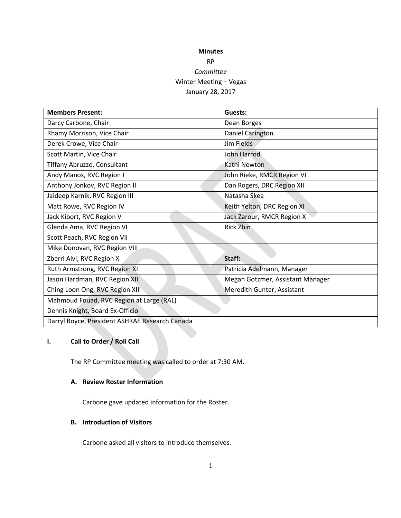# **Minutes** RP *Committee* Winter Meeting – Vegas January 28, 2017

| <b>Members Present:</b>                        | Guests:                          |
|------------------------------------------------|----------------------------------|
| Darcy Carbone, Chair                           | Dean Borges                      |
| Rhamy Morrison, Vice Chair                     | Daniel Carington                 |
| Derek Crowe, Vice Chair                        | Jim Fields                       |
| Scott Martin, Vice Chair                       | John Harrod                      |
| Tiffany Abruzzo, Consultant                    | Kathi Newton                     |
| Andy Manos, RVC Region I                       | John Rieke, RMCR Region VI       |
| Anthony Jonkov, RVC Region II                  | Dan Rogers, DRC Region XII       |
| Jaideep Karnik, RVC Region III                 | Natasha Skea                     |
| Matt Rowe, RVC Region IV                       | Keith Yelton, DRC Region XI      |
| Jack Kibort, RVC Region V                      | Jack Zarour, RMCR Region X       |
| Glenda Ama, RVC Region VI                      | <b>Rick Zbin</b>                 |
| Scott Peach, RVC Region VII                    |                                  |
| Mike Donovan, RVC Region VIII                  |                                  |
| Zberri Alvi, RVC Region X                      | Staff:                           |
| Ruth Armstrong, RVC Region XI                  | Patricia Adelmann, Manager       |
| Jason Hardman, RVC Region XII                  | Megan Gotzmer, Assistant Manager |
| Ching Loon Ong, RVC Region XIII                | Meredith Gunter, Assistant       |
| Mahmoud Fouad, RVC Region at Large (RAL)       |                                  |
| Dennis Knight, Board Ex-Officio                |                                  |
| Darryl Boyce, President ASHRAE Research Canada |                                  |

## **I. Call to Order / Roll Call**

The RP Committee meeting was called to order at 7:30 AM.

### **A. Review Roster Information**

Carbone gave updated information for the Roster.

### **B. Introduction of Visitors**

Carbone asked all visitors to introduce themselves.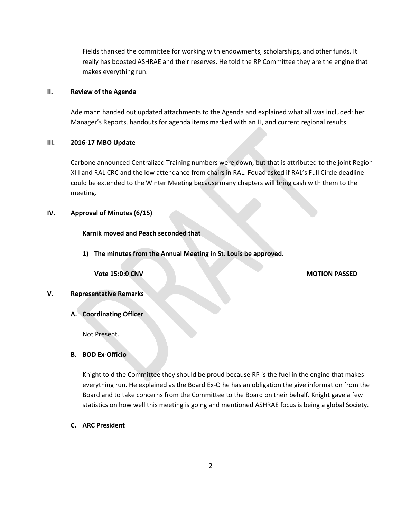Fields thanked the committee for working with endowments, scholarships, and other funds. It really has boosted ASHRAE and their reserves. He told the RP Committee they are the engine that makes everything run.

### **II. Review of the Agenda**

Adelmann handed out updated attachments to the Agenda and explained what all was included: her Manager's Reports, handouts for agenda items marked with an H, and current regional results.

### **III. 2016-17 MBO Update**

Carbone announced Centralized Training numbers were down, but that is attributed to the joint Region XIII and RAL CRC and the low attendance from chairs in RAL. Fouad asked if RAL's Full Circle deadline could be extended to the Winter Meeting because many chapters will bring cash with them to the meeting.

### **IV. Approval of Minutes (6/15)**

**Karnik moved and Peach seconded that**

**1) The minutes from the Annual Meeting in St. Louis be approved.**

### **Vote 15:0:0 CNV MOTION PASSED**

### **V. Representative Remarks**

**A. Coordinating Officer**

Not Present.

**B. BOD Ex-Officio**

Knight told the Committee they should be proud because RP is the fuel in the engine that makes everything run. He explained as the Board Ex-O he has an obligation the give information from the Board and to take concerns from the Committee to the Board on their behalf. Knight gave a few statistics on how well this meeting is going and mentioned ASHRAE focus is being a global Society.

**C. ARC President**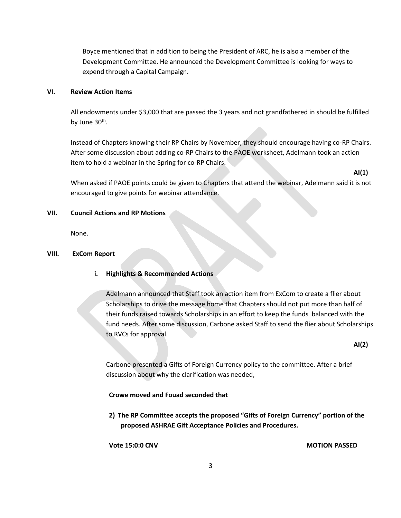Boyce mentioned that in addition to being the President of ARC, he is also a member of the Development Committee. He announced the Development Committee is looking for ways to expend through a Capital Campaign.

### **VI. Review Action Items**

All endowments under \$3,000 that are passed the 3 years and not grandfathered in should be fulfilled by June 30<sup>th</sup>.

Instead of Chapters knowing their RP Chairs by November, they should encourage having co-RP Chairs. After some discussion about adding co-RP Chairs to the PAOE worksheet, Adelmann took an action item to hold a webinar in the Spring for co-RP Chairs.

**AI(1)**

When asked if PAOE points could be given to Chapters that attend the webinar, Adelmann said it is not encouraged to give points for webinar attendance.

### **VII. Council Actions and RP Motions**

None.

### **VIII. ExCom Report**

**i. Highlights & Recommended Actions**

Adelmann announced that Staff took an action item from ExCom to create a flier about Scholarships to drive the message home that Chapters should not put more than half of their funds raised towards Scholarships in an effort to keep the funds balanced with the fund needs. After some discussion, Carbone asked Staff to send the flier about Scholarships to RVCs for approval.

**AI(2)**

Carbone presented a Gifts of Foreign Currency policy to the committee. After a brief discussion about why the clarification was needed,

### **Crowe moved and Fouad seconded that**

**2) The RP Committee accepts the proposed "Gifts of Foreign Currency" portion of the proposed ASHRAE Gift Acceptance Policies and Procedures.**

**Vote 15:0:0 CNV MOTION PASSED**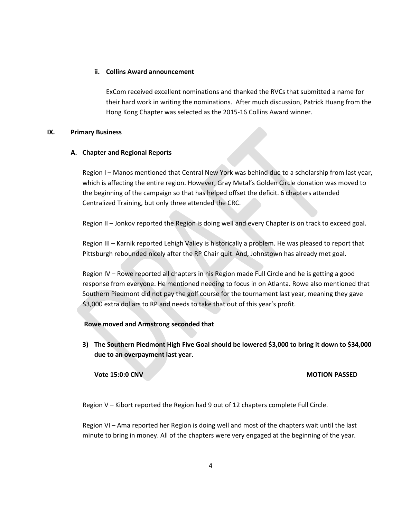### **ii. Collins Award announcement**

ExCom received excellent nominations and thanked the RVCs that submitted a name for their hard work in writing the nominations. After much discussion, Patrick Huang from the Hong Kong Chapter was selected as the 2015-16 Collins Award winner.

### **IX. Primary Business**

### **A. Chapter and Regional Reports**

Region I – Manos mentioned that Central New York was behind due to a scholarship from last year, which is affecting the entire region. However, Gray Metal's Golden Circle donation was moved to the beginning of the campaign so that has helped offset the deficit. 6 chapters attended Centralized Training, but only three attended the CRC.

Region II – Jonkov reported the Region is doing well and every Chapter is on track to exceed goal.

Region III – Karnik reported Lehigh Valley is historically a problem. He was pleased to report that Pittsburgh rebounded nicely after the RP Chair quit. And, Johnstown has already met goal.

Region IV – Rowe reported all chapters in his Region made Full Circle and he is getting a good response from everyone. He mentioned needing to focus in on Atlanta. Rowe also mentioned that Southern Piedmont did not pay the golf course for the tournament last year, meaning they gave \$3,000 extra dollars to RP and needs to take that out of this year's profit.

### **Rowe moved and Armstrong seconded that**

**3) The Southern Piedmont High Five Goal should be lowered \$3,000 to bring it down to \$34,000 due to an overpayment last year.** 

**Vote 15:0:0 CNV MOTION PASSED**

Region V – Kibort reported the Region had 9 out of 12 chapters complete Full Circle.

Region VI – Ama reported her Region is doing well and most of the chapters wait until the last minute to bring in money. All of the chapters were very engaged at the beginning of the year.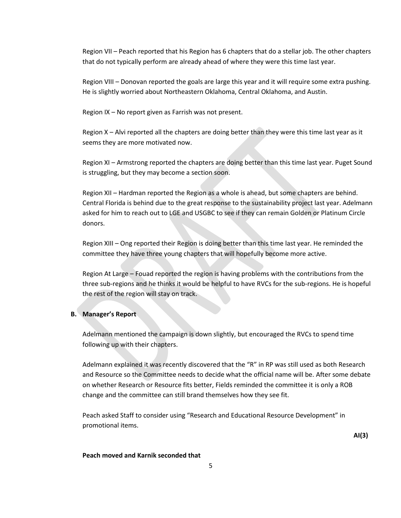Region VII – Peach reported that his Region has 6 chapters that do a stellar job. The other chapters that do not typically perform are already ahead of where they were this time last year.

Region VIII – Donovan reported the goals are large this year and it will require some extra pushing. He is slightly worried about Northeastern Oklahoma, Central Oklahoma, and Austin.

Region IX – No report given as Farrish was not present.

Region X – Alvi reported all the chapters are doing better than they were this time last year as it seems they are more motivated now.

Region XI – Armstrong reported the chapters are doing better than this time last year. Puget Sound is struggling, but they may become a section soon.

Region XII – Hardman reported the Region as a whole is ahead, but some chapters are behind. Central Florida is behind due to the great response to the sustainability project last year. Adelmann asked for him to reach out to LGE and USGBC to see if they can remain Golden or Platinum Circle donors.

Region XIII – Ong reported their Region is doing better than this time last year. He reminded the committee they have three young chapters that will hopefully become more active.

Region At Large – Fouad reported the region is having problems with the contributions from the three sub-regions and he thinks it would be helpful to have RVCs for the sub-regions. He is hopeful the rest of the region will stay on track.

### **B. Manager's Report**

Adelmann mentioned the campaign is down slightly, but encouraged the RVCs to spend time following up with their chapters.

Adelmann explained it was recently discovered that the "R" in RP was still used as both Research and Resource so the Committee needs to decide what the official name will be. After some debate on whether Research or Resource fits better, Fields reminded the committee it is only a ROB change and the committee can still brand themselves how they see fit.

Peach asked Staff to consider using "Research and Educational Resource Development" in promotional items.

**AI(3)**

### **Peach moved and Karnik seconded that**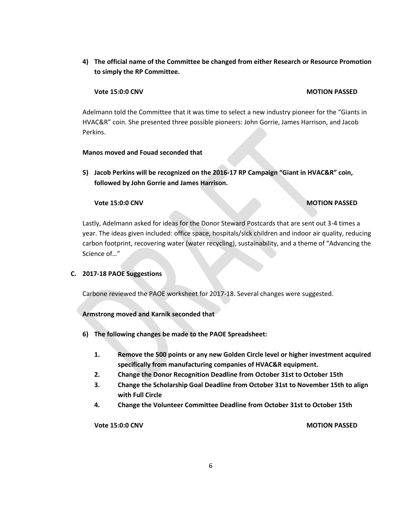**4) The official name of the Committee be changed from either Research or Resource Promotion to simply the RP Committee.**

### **Vote 15:0:0 CNV MOTION PASSED**

Adelmann told the Committee that it was time to select a new industry pioneer for the "Giants in HVAC&R" coin. She presented three possible pioneers: John Gorrie, James Harrison, and Jacob Perkins.

### **Manos moved and Fouad seconded that**

**5) Jacob Perkins will be recognized on the 2016-17 RP Campaign "Giant in HVAC&R" coin, followed by John Gorrie and James Harrison.**

### **Vote 15:0:0 CNV MOTION PASSED**

Lastly, Adelmann asked for ideas for the Donor Steward Postcards that are sent out 3-4 times a year. The ideas given included: office space, hospitals/sick children and indoor air quality, reducing carbon footprint, recovering water (water recycling), sustainability, and a theme of "Advancing the Science of…"

### **C. 2017-18 PAOE Suggestions**

Carbone reviewed the PAOE worksheet for 2017-18. Several changes were suggested.

### **Armstrong moved and Karnik seconded that**

- **6) The following changes be made to the PAOE Spreadsheet:** 
	- **1. Remove the 500 points or any new Golden Circle level or higher investment acquired specifically from manufacturing companies of HVAC&R equipment.**
	- **2. Change the Donor Recognition Deadline from October 31st to October 15th**
	- **3. Change the Scholarship Goal Deadline from October 31st to November 15th to align with Full Circle**
	- **4. Change the Volunteer Committee Deadline from October 31st to October 15th**

**Vote 15:0:0 CNV MOTION PASSED**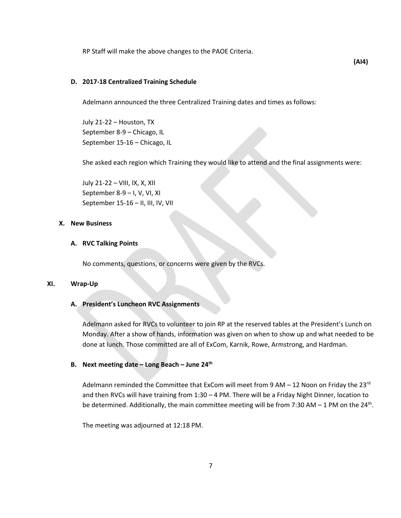RP Staff will make the above changes to the PAOE Criteria.

### **D. 2017-18 Centralized Training Schedule**

Adelmann announced the three Centralized Training dates and times as follows:

July 21-22 – Houston, TX September 8-9 – Chicago, IL September 15-16 – Chicago, IL

She asked each region which Training they would like to attend and the final assignments were:

July 21-22 – VIII, IX, X, XII September 8-9 – I, V, VI, XI September 15-16 – II, III, IV, VII

### **X. New Business**

### **A. RVC Talking Points**

No comments, questions, or concerns were given by the RVCs.

### **XI. Wrap-Up**

### **A. President's Luncheon RVC Assignments**

Adelmann asked for RVCs to volunteer to join RP at the reserved tables at the President's Lunch on Monday. After a show of hands, information was given on when to show up and what needed to be done at lunch. Those committed are all of ExCom, Karnik, Rowe, Armstrong, and Hardman.

### **B. Next meeting date – Long Beach – June 24th**

Adelmann reminded the Committee that ExCom will meet from 9 AM  $-$  12 Noon on Friday the 23<sup>rd</sup> and then RVCs will have training from 1:30 – 4 PM. There will be a Friday Night Dinner, location to be determined. Additionally, the main committee meeting will be from 7:30 AM - 1 PM on the 24<sup>th</sup>.

The meeting was adjourned at 12:18 PM.

**(AI4)**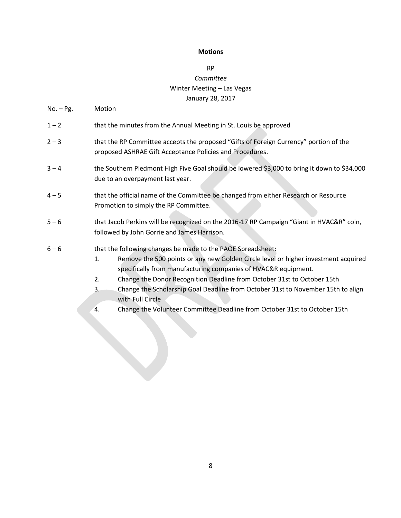### **Motions**

# RP *Committee* Winter Meeting – Las Vegas January 28, 2017

# No. – Pg. Motion 1 – 2 that the minutes from the Annual Meeting in St. Louis be approved 2 – 3 that the RP Committee accepts the proposed "Gifts of Foreign Currency" portion of the proposed ASHRAE Gift Acceptance Policies and Procedures. 3 – 4 the Southern Piedmont High Five Goal should be lowered \$3,000 to bring it down to \$34,000 due to an overpayment last year. 4 – 5 that the official name of the Committee be changed from either Research or Resource Promotion to simply the RP Committee. 5 – 6 that Jacob Perkins will be recognized on the 2016-17 RP Campaign "Giant in HVAC&R" coin, followed by John Gorrie and James Harrison. 6 – 6 that the following changes be made to the PAOE Spreadsheet: 1. Remove the 500 points or any new Golden Circle level or higher investment acquired specifically from manufacturing companies of HVAC&R equipment. 2. Change the Donor Recognition Deadline from October 31st to October 15th 3. Change the Scholarship Goal Deadline from October 31st to November 15th to align with Full Circle 4. Change the Volunteer Committee Deadline from October 31st to October 15th